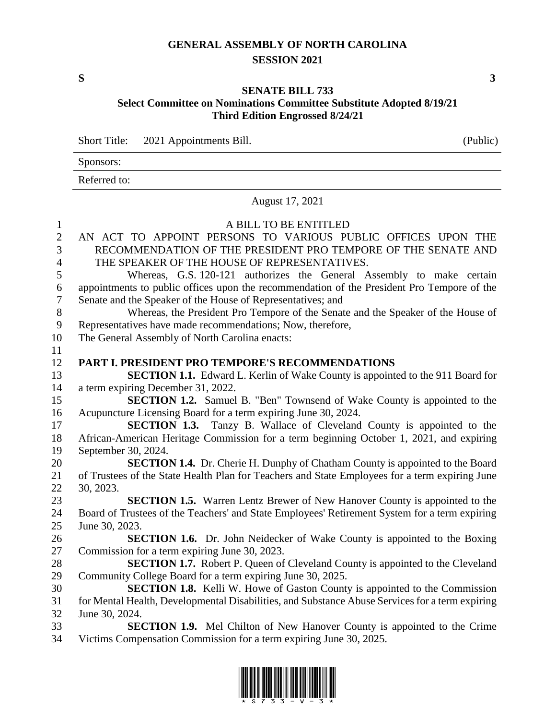### **GENERAL ASSEMBLY OF NORTH CAROLINA SESSION 2021**

**S 3**

### **SENATE BILL 733 Select Committee on Nominations Committee Substitute Adopted 8/19/21 Third Edition Engrossed 8/24/21**

Short Title: 2021 Appointments Bill. (Public)

| the contract of the contract of the contract of the contract of the contract of the contract of the contract of |  |
|-----------------------------------------------------------------------------------------------------------------|--|
| Sponsors:                                                                                                       |  |
| Referred to:                                                                                                    |  |

#### August 17, 2021

## A BILL TO BE ENTITLED AN ACT TO APPOINT PERSONS TO VARIOUS PUBLIC OFFICES UPON THE RECOMMENDATION OF THE PRESIDENT PRO TEMPORE OF THE SENATE AND THE SPEAKER OF THE HOUSE OF REPRESENTATIVES. Whereas, G.S. 120-121 authorizes the General Assembly to make certain appointments to public offices upon the recommendation of the President Pro Tempore of the Senate and the Speaker of the House of Representatives; and Whereas, the President Pro Tempore of the Senate and the Speaker of the House of Representatives have made recommendations; Now, therefore, The General Assembly of North Carolina enacts: **PART I. PRESIDENT PRO TEMPORE'S RECOMMENDATIONS SECTION 1.1.** Edward L. Kerlin of Wake County is appointed to the 911 Board for a term expiring December 31, 2022. **SECTION 1.2.** Samuel B. "Ben" Townsend of Wake County is appointed to the Acupuncture Licensing Board for a term expiring June 30, 2024. **SECTION 1.3.** Tanzy B. Wallace of Cleveland County is appointed to the African-American Heritage Commission for a term beginning October 1, 2021, and expiring September 30, 2024. **SECTION 1.4.** Dr. Cherie H. Dunphy of Chatham County is appointed to the Board of Trustees of the State Health Plan for Teachers and State Employees for a term expiring June 30, 2023. **SECTION 1.5.** Warren Lentz Brewer of New Hanover County is appointed to the Board of Trustees of the Teachers' and State Employees' Retirement System for a term expiring June 30, 2023. **SECTION 1.6.** Dr. John Neidecker of Wake County is appointed to the Boxing Commission for a term expiring June 30, 2023. **SECTION 1.7.** Robert P. Queen of Cleveland County is appointed to the Cleveland Community College Board for a term expiring June 30, 2025. **SECTION 1.8.** Kelli W. Howe of Gaston County is appointed to the Commission for Mental Health, Developmental Disabilities, and Substance Abuse Services for a term expiring June 30, 2024. **SECTION 1.9.** Mel Chilton of New Hanover County is appointed to the Crime Victims Compensation Commission for a term expiring June 30, 2025.

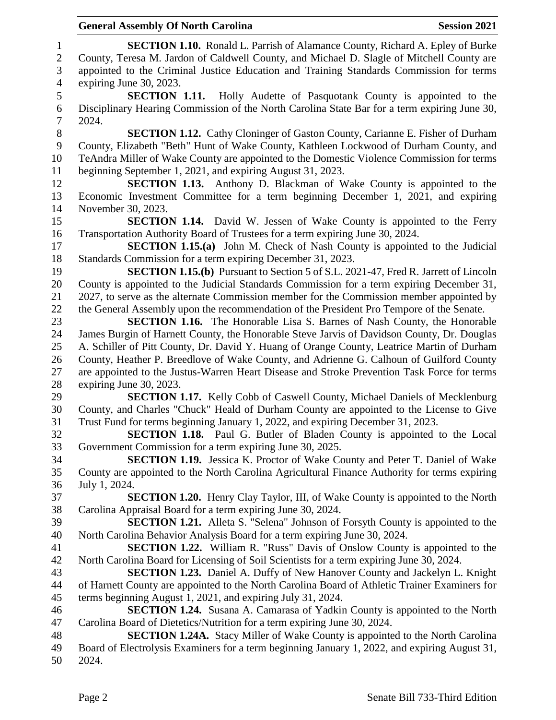### **General Assembly Of North Carolina Session 2021**

 **SECTION 1.10.** Ronald L. Parrish of Alamance County, Richard A. Epley of Burke County, Teresa M. Jardon of Caldwell County, and Michael D. Slagle of Mitchell County are appointed to the Criminal Justice Education and Training Standards Commission for terms expiring June 30, 2023. **SECTION 1.11.** Holly Audette of Pasquotank County is appointed to the Disciplinary Hearing Commission of the North Carolina State Bar for a term expiring June 30, 2024. **SECTION 1.12.** Cathy Cloninger of Gaston County, Carianne E. Fisher of Durham County, Elizabeth "Beth" Hunt of Wake County, Kathleen Lockwood of Durham County, and TeAndra Miller of Wake County are appointed to the Domestic Violence Commission for terms beginning September 1, 2021, and expiring August 31, 2023. **SECTION 1.13.** Anthony D. Blackman of Wake County is appointed to the Economic Investment Committee for a term beginning December 1, 2021, and expiring November 30, 2023. **SECTION 1.14.** David W. Jessen of Wake County is appointed to the Ferry Transportation Authority Board of Trustees for a term expiring June 30, 2024. **SECTION 1.15.(a)** John M. Check of Nash County is appointed to the Judicial Standards Commission for a term expiring December 31, 2023. **SECTION 1.15.(b)** Pursuant to Section 5 of S.L. 2021-47, Fred R. Jarrett of Lincoln County is appointed to the Judicial Standards Commission for a term expiring December 31, 2027, to serve as the alternate Commission member for the Commission member appointed by the General Assembly upon the recommendation of the President Pro Tempore of the Senate. **SECTION 1.16.** The Honorable Lisa S. Barnes of Nash County, the Honorable James Burgin of Harnett County, the Honorable Steve Jarvis of Davidson County, Dr. Douglas A. Schiller of Pitt County, Dr. David Y. Huang of Orange County, Leatrice Martin of Durham County, Heather P. Breedlove of Wake County, and Adrienne G. Calhoun of Guilford County are appointed to the Justus-Warren Heart Disease and Stroke Prevention Task Force for terms expiring June 30, 2023. **SECTION 1.17.** Kelly Cobb of Caswell County, Michael Daniels of Mecklenburg County, and Charles "Chuck" Heald of Durham County are appointed to the License to Give Trust Fund for terms beginning January 1, 2022, and expiring December 31, 2023. **SECTION 1.18.** Paul G. Butler of Bladen County is appointed to the Local Government Commission for a term expiring June 30, 2025. **SECTION 1.19.** Jessica K. Proctor of Wake County and Peter T. Daniel of Wake County are appointed to the North Carolina Agricultural Finance Authority for terms expiring July 1, 2024. **SECTION 1.20.** Henry Clay Taylor, III, of Wake County is appointed to the North Carolina Appraisal Board for a term expiring June 30, 2024. **SECTION 1.21.** Alleta S. "Selena" Johnson of Forsyth County is appointed to the North Carolina Behavior Analysis Board for a term expiring June 30, 2024. **SECTION 1.22.** William R. "Russ" Davis of Onslow County is appointed to the North Carolina Board for Licensing of Soil Scientists for a term expiring June 30, 2024. **SECTION 1.23.** Daniel A. Duffy of New Hanover County and Jackelyn L. Knight of Harnett County are appointed to the North Carolina Board of Athletic Trainer Examiners for terms beginning August 1, 2021, and expiring July 31, 2024. **SECTION 1.24.** Susana A. Camarasa of Yadkin County is appointed to the North Carolina Board of Dietetics/Nutrition for a term expiring June 30, 2024. **SECTION 1.24A.** Stacy Miller of Wake County is appointed to the North Carolina Board of Electrolysis Examiners for a term beginning January 1, 2022, and expiring August 31, 2024.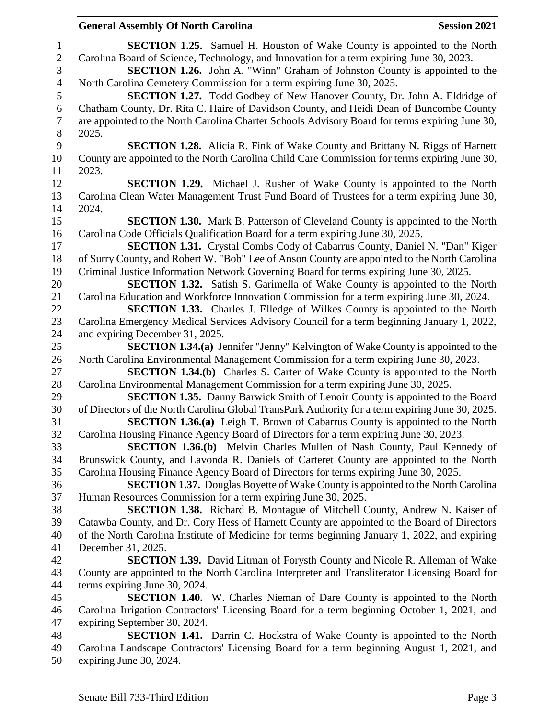**General Assembly Of North Carolina Session 2021 SECTION 1.25.** Samuel H. Houston of Wake County is appointed to the North Carolina Board of Science, Technology, and Innovation for a term expiring June 30, 2023. **SECTION 1.26.** John A. "Winn" Graham of Johnston County is appointed to the North Carolina Cemetery Commission for a term expiring June 30, 2025. **SECTION 1.27.** Todd Godbey of New Hanover County, Dr. John A. Eldridge of Chatham County, Dr. Rita C. Haire of Davidson County, and Heidi Dean of Buncombe County are appointed to the North Carolina Charter Schools Advisory Board for terms expiring June 30, 2025. **SECTION 1.28.** Alicia R. Fink of Wake County and Brittany N. Riggs of Harnett County are appointed to the North Carolina Child Care Commission for terms expiring June 30, 2023. **SECTION 1.29.** Michael J. Rusher of Wake County is appointed to the North Carolina Clean Water Management Trust Fund Board of Trustees for a term expiring June 30, 2024. **SECTION 1.30.** Mark B. Patterson of Cleveland County is appointed to the North Carolina Code Officials Qualification Board for a term expiring June 30, 2025. **SECTION 1.31.** Crystal Combs Cody of Cabarrus County, Daniel N. "Dan" Kiger of Surry County, and Robert W. "Bob" Lee of Anson County are appointed to the North Carolina Criminal Justice Information Network Governing Board for terms expiring June 30, 2025. **SECTION 1.32.** Satish S. Garimella of Wake County is appointed to the North Carolina Education and Workforce Innovation Commission for a term expiring June 30, 2024. **SECTION 1.33.** Charles J. Elledge of Wilkes County is appointed to the North Carolina Emergency Medical Services Advisory Council for a term beginning January 1, 2022, and expiring December 31, 2025. **SECTION 1.34.(a)** Jennifer "Jenny" Kelvington of Wake County is appointed to the North Carolina Environmental Management Commission for a term expiring June 30, 2023. **SECTION 1.34.(b)** Charles S. Carter of Wake County is appointed to the North Carolina Environmental Management Commission for a term expiring June 30, 2025. **SECTION 1.35.** Danny Barwick Smith of Lenoir County is appointed to the Board of Directors of the North Carolina Global TransPark Authority for a term expiring June 30, 2025. **SECTION 1.36.(a)** Leigh T. Brown of Cabarrus County is appointed to the North Carolina Housing Finance Agency Board of Directors for a term expiring June 30, 2023. **SECTION 1.36.(b)** Melvin Charles Mullen of Nash County, Paul Kennedy of Brunswick County, and Lavonda R. Daniels of Carteret County are appointed to the North Carolina Housing Finance Agency Board of Directors for terms expiring June 30, 2025. **SECTION 1.37.** Douglas Boyette of Wake County is appointed to the North Carolina Human Resources Commission for a term expiring June 30, 2025. **SECTION 1.38.** Richard B. Montague of Mitchell County, Andrew N. Kaiser of Catawba County, and Dr. Cory Hess of Harnett County are appointed to the Board of Directors of the North Carolina Institute of Medicine for terms beginning January 1, 2022, and expiring December 31, 2025. **SECTION 1.39.** David Litman of Forysth County and Nicole R. Alleman of Wake County are appointed to the North Carolina Interpreter and Transliterator Licensing Board for terms expiring June 30, 2024. **SECTION 1.40.** W. Charles Nieman of Dare County is appointed to the North Carolina Irrigation Contractors' Licensing Board for a term beginning October 1, 2021, and expiring September 30, 2024. **SECTION 1.41.** Darrin C. Hockstra of Wake County is appointed to the North Carolina Landscape Contractors' Licensing Board for a term beginning August 1, 2021, and expiring June 30, 2024.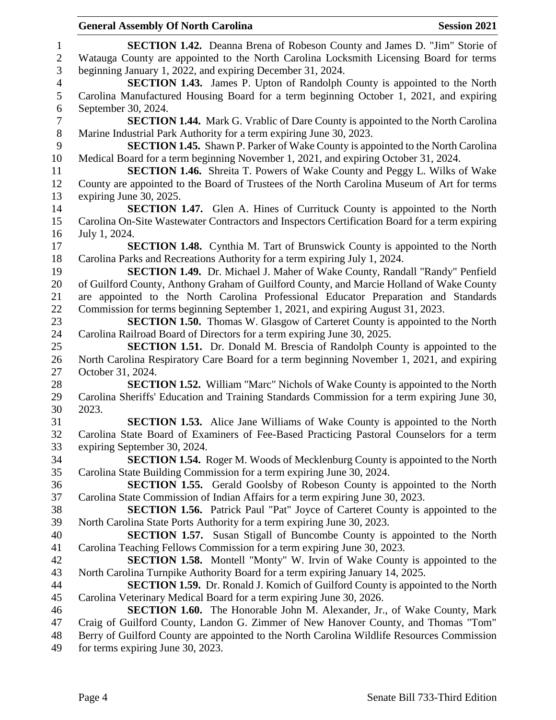### **General Assembly Of North Carolina Session 2021**

 **SECTION 1.42.** Deanna Brena of Robeson County and James D. "Jim" Storie of Watauga County are appointed to the North Carolina Locksmith Licensing Board for terms beginning January 1, 2022, and expiring December 31, 2024. **SECTION 1.43.** James P. Upton of Randolph County is appointed to the North Carolina Manufactured Housing Board for a term beginning October 1, 2021, and expiring September 30, 2024. **SECTION 1.44.** Mark G. Vrablic of Dare County is appointed to the North Carolina Marine Industrial Park Authority for a term expiring June 30, 2023. **SECTION 1.45.** Shawn P. Parker of Wake County is appointed to the North Carolina Medical Board for a term beginning November 1, 2021, and expiring October 31, 2024. **SECTION 1.46.** Shreita T. Powers of Wake County and Peggy L. Wilks of Wake County are appointed to the Board of Trustees of the North Carolina Museum of Art for terms expiring June 30, 2025. **SECTION 1.47.** Glen A. Hines of Currituck County is appointed to the North Carolina On-Site Wastewater Contractors and Inspectors Certification Board for a term expiring July 1, 2024. **SECTION 1.48.** Cynthia M. Tart of Brunswick County is appointed to the North Carolina Parks and Recreations Authority for a term expiring July 1, 2024. **SECTION 1.49.** Dr. Michael J. Maher of Wake County, Randall "Randy" Penfield of Guilford County, Anthony Graham of Guilford County, and Marcie Holland of Wake County are appointed to the North Carolina Professional Educator Preparation and Standards Commission for terms beginning September 1, 2021, and expiring August 31, 2023. **SECTION 1.50.** Thomas W. Glasgow of Carteret County is appointed to the North Carolina Railroad Board of Directors for a term expiring June 30, 2025. **SECTION 1.51.** Dr. Donald M. Brescia of Randolph County is appointed to the North Carolina Respiratory Care Board for a term beginning November 1, 2021, and expiring October 31, 2024. **SECTION 1.52.** William "Marc" Nichols of Wake County is appointed to the North Carolina Sheriffs' Education and Training Standards Commission for a term expiring June 30, 2023. **SECTION 1.53.** Alice Jane Williams of Wake County is appointed to the North Carolina State Board of Examiners of Fee-Based Practicing Pastoral Counselors for a term expiring September 30, 2024. **SECTION 1.54.** Roger M. Woods of Mecklenburg County is appointed to the North Carolina State Building Commission for a term expiring June 30, 2024. **SECTION 1.55.** Gerald Goolsby of Robeson County is appointed to the North Carolina State Commission of Indian Affairs for a term expiring June 30, 2023. **SECTION 1.56.** Patrick Paul "Pat" Joyce of Carteret County is appointed to the North Carolina State Ports Authority for a term expiring June 30, 2023. **SECTION 1.57.** Susan Stigall of Buncombe County is appointed to the North Carolina Teaching Fellows Commission for a term expiring June 30, 2023. **SECTION 1.58.** Montell "Monty" W. Irvin of Wake County is appointed to the North Carolina Turnpike Authority Board for a term expiring January 14, 2025. **SECTION 1.59.** Dr. Ronald J. Komich of Guilford County is appointed to the North Carolina Veterinary Medical Board for a term expiring June 30, 2026. **SECTION 1.60.** The Honorable John M. Alexander, Jr., of Wake County, Mark Craig of Guilford County, Landon G. Zimmer of New Hanover County, and Thomas "Tom" Berry of Guilford County are appointed to the North Carolina Wildlife Resources Commission for terms expiring June 30, 2023.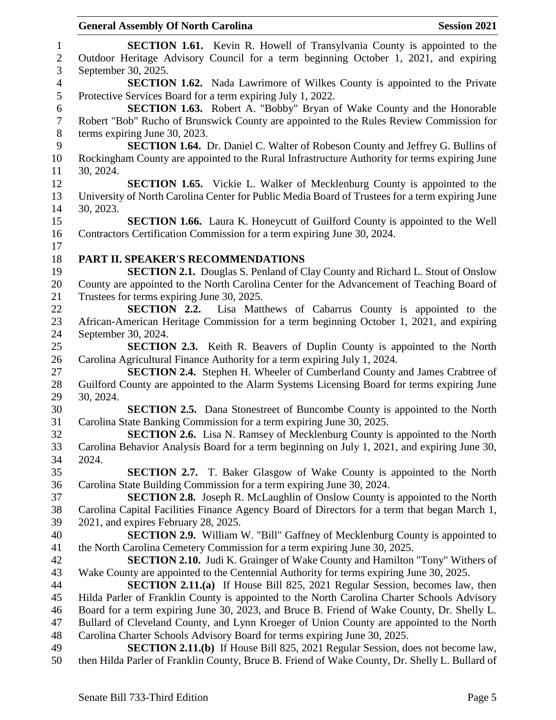| $\mathbf{1}$   | <b>SECTION 1.61.</b> Kevin R. Howell of Transylvania County is appointed to the                                                                                                |
|----------------|--------------------------------------------------------------------------------------------------------------------------------------------------------------------------------|
| $\sqrt{2}$     | Outdoor Heritage Advisory Council for a term beginning October 1, 2021, and expiring                                                                                           |
| 3              | September 30, 2025.                                                                                                                                                            |
| $\overline{4}$ | <b>SECTION 1.62.</b> Nada Lawrimore of Wilkes County is appointed to the Private                                                                                               |
| 5              | Protective Services Board for a term expiring July 1, 2022.                                                                                                                    |
| 6              | <b>SECTION 1.63.</b> Robert A. "Bobby" Bryan of Wake County and the Honorable                                                                                                  |
| $\tau$         | Robert "Bob" Rucho of Brunswick County are appointed to the Rules Review Commission for                                                                                        |
| $8\,$          | terms expiring June 30, 2023.                                                                                                                                                  |
| 9              | <b>SECTION 1.64.</b> Dr. Daniel C. Walter of Robeson County and Jeffrey G. Bullins of                                                                                          |
| 10             | Rockingham County are appointed to the Rural Infrastructure Authority for terms expiring June                                                                                  |
| 11             | 30, 2024.                                                                                                                                                                      |
| 12             | <b>SECTION 1.65.</b> Vickie L. Walker of Mecklenburg County is appointed to the                                                                                                |
| 13             | University of North Carolina Center for Public Media Board of Trustees for a term expiring June                                                                                |
| 14             | 30, 2023.                                                                                                                                                                      |
| 15             | <b>SECTION 1.66.</b> Laura K. Honeycutt of Guilford County is appointed to the Well                                                                                            |
| 16             | Contractors Certification Commission for a term expiring June 30, 2024.                                                                                                        |
| 17             |                                                                                                                                                                                |
| 18             | PART II. SPEAKER'S RECOMMENDATIONS                                                                                                                                             |
| 19             | <b>SECTION 2.1.</b> Douglas S. Penland of Clay County and Richard L. Stout of Onslow                                                                                           |
| 20             | County are appointed to the North Carolina Center for the Advancement of Teaching Board of                                                                                     |
| 21             | Trustees for terms expiring June 30, 2025.                                                                                                                                     |
| 22             | <b>SECTION 2.2.</b> Lisa Matthews of Cabarrus County is appointed to the                                                                                                       |
| 23             | African-American Heritage Commission for a term beginning October 1, 2021, and expiring                                                                                        |
| 24             | September 30, 2024.                                                                                                                                                            |
| 25             | <b>SECTION 2.3.</b> Keith R. Beavers of Duplin County is appointed to the North                                                                                                |
| 26             | Carolina Agricultural Finance Authority for a term expiring July 1, 2024.                                                                                                      |
| 27             | <b>SECTION 2.4.</b> Stephen H. Wheeler of Cumberland County and James Crabtree of                                                                                              |
| 28             | Guilford County are appointed to the Alarm Systems Licensing Board for terms expiring June                                                                                     |
| 29             | 30, 2024.                                                                                                                                                                      |
| 30             | <b>SECTION 2.5.</b> Dana Stonestreet of Buncombe County is appointed to the North                                                                                              |
| 31             | Carolina State Banking Commission for a term expiring June 30, 2025.                                                                                                           |
| 32             | <b>SECTION 2.6.</b> Lisa N. Ramsey of Mecklenburg County is appointed to the North                                                                                             |
| 33             | Carolina Behavior Analysis Board for a term beginning on July 1, 2021, and expiring June 30,                                                                                   |
| 34             | 2024.                                                                                                                                                                          |
| 35             | <b>SECTION 2.7.</b> T. Baker Glasgow of Wake County is appointed to the North                                                                                                  |
| 36             | Carolina State Building Commission for a term expiring June 30, 2024.                                                                                                          |
| 37             | <b>SECTION 2.8.</b> Joseph R. McLaughlin of Onslow County is appointed to the North                                                                                            |
| 38             | Carolina Capital Facilities Finance Agency Board of Directors for a term that began March 1,                                                                                   |
| 39             | 2021, and expires February 28, 2025.                                                                                                                                           |
| 40             | <b>SECTION 2.9.</b> William W. "Bill" Gaffney of Mecklenburg County is appointed to                                                                                            |
| 41<br>42       | the North Carolina Cemetery Commission for a term expiring June 30, 2025.                                                                                                      |
| 43             | <b>SECTION 2.10.</b> Judi K. Grainger of Wake County and Hamilton "Tony" Withers of<br>Wake County are appointed to the Centennial Authority for terms expiring June 30, 2025. |
| 44             | <b>SECTION 2.11.(a)</b> If House Bill 825, 2021 Regular Session, becomes law, then                                                                                             |
| 45             | Hilda Parler of Franklin County is appointed to the North Carolina Charter Schools Advisory                                                                                    |
| 46             | Board for a term expiring June 30, 2023, and Bruce B. Friend of Wake County, Dr. Shelly L.                                                                                     |
| 47             | Bullard of Cleveland County, and Lynn Kroeger of Union County are appointed to the North                                                                                       |
| 48             | Carolina Charter Schools Advisory Board for terms expiring June 30, 2025.                                                                                                      |
| 49             |                                                                                                                                                                                |
|                | <b>SECTION 2.11.(b)</b> If House Bill 825, 2021 Regular Session, does not become law,                                                                                          |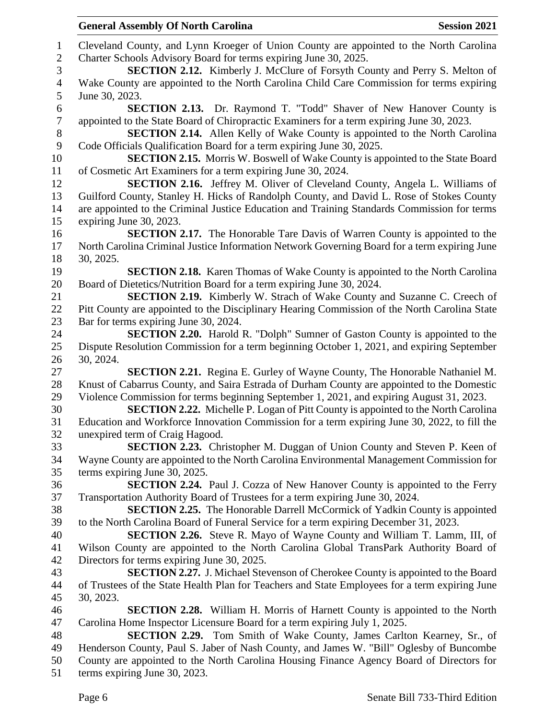Cleveland County, and Lynn Kroeger of Union County are appointed to the North Carolina Charter Schools Advisory Board for terms expiring June 30, 2025. **SECTION 2.12.** Kimberly J. McClure of Forsyth County and Perry S. Melton of Wake County are appointed to the North Carolina Child Care Commission for terms expiring June 30, 2023. **SECTION 2.13.** Dr. Raymond T. "Todd" Shaver of New Hanover County is appointed to the State Board of Chiropractic Examiners for a term expiring June 30, 2023. **SECTION 2.14.** Allen Kelly of Wake County is appointed to the North Carolina Code Officials Qualification Board for a term expiring June 30, 2025. **SECTION 2.15.** Morris W. Boswell of Wake County is appointed to the State Board of Cosmetic Art Examiners for a term expiring June 30, 2024. **SECTION 2.16.** Jeffrey M. Oliver of Cleveland County, Angela L. Williams of Guilford County, Stanley H. Hicks of Randolph County, and David L. Rose of Stokes County are appointed to the Criminal Justice Education and Training Standards Commission for terms expiring June 30, 2023. **SECTION 2.17.** The Honorable Tare Davis of Warren County is appointed to the North Carolina Criminal Justice Information Network Governing Board for a term expiring June 30, 2025. **SECTION 2.18.** Karen Thomas of Wake County is appointed to the North Carolina Board of Dietetics/Nutrition Board for a term expiring June 30, 2024. **SECTION 2.19.** Kimberly W. Strach of Wake County and Suzanne C. Creech of Pitt County are appointed to the Disciplinary Hearing Commission of the North Carolina State Bar for terms expiring June 30, 2024. **SECTION 2.20.** Harold R. "Dolph" Sumner of Gaston County is appointed to the Dispute Resolution Commission for a term beginning October 1, 2021, and expiring September 30, 2024. **SECTION 2.21.** Regina E. Gurley of Wayne County, The Honorable Nathaniel M. Knust of Cabarrus County, and Saira Estrada of Durham County are appointed to the Domestic Violence Commission for terms beginning September 1, 2021, and expiring August 31, 2023. **SECTION 2.22.** Michelle P. Logan of Pitt County is appointed to the North Carolina Education and Workforce Innovation Commission for a term expiring June 30, 2022, to fill the unexpired term of Craig Hagood. **SECTION 2.23.** Christopher M. Duggan of Union County and Steven P. Keen of Wayne County are appointed to the North Carolina Environmental Management Commission for terms expiring June 30, 2025. **SECTION 2.24.** Paul J. Cozza of New Hanover County is appointed to the Ferry Transportation Authority Board of Trustees for a term expiring June 30, 2024. **SECTION 2.25.** The Honorable Darrell McCormick of Yadkin County is appointed to the North Carolina Board of Funeral Service for a term expiring December 31, 2023. **SECTION 2.26.** Steve R. Mayo of Wayne County and William T. Lamm, III, of Wilson County are appointed to the North Carolina Global TransPark Authority Board of Directors for terms expiring June 30, 2025. **SECTION 2.27.** J. Michael Stevenson of Cherokee County is appointed to the Board of Trustees of the State Health Plan for Teachers and State Employees for a term expiring June 30, 2023. **SECTION 2.28.** William H. Morris of Harnett County is appointed to the North Carolina Home Inspector Licensure Board for a term expiring July 1, 2025. **SECTION 2.29.** Tom Smith of Wake County, James Carlton Kearney, Sr., of Henderson County, Paul S. Jaber of Nash County, and James W. "Bill" Oglesby of Buncombe County are appointed to the North Carolina Housing Finance Agency Board of Directors for

terms expiring June 30, 2023.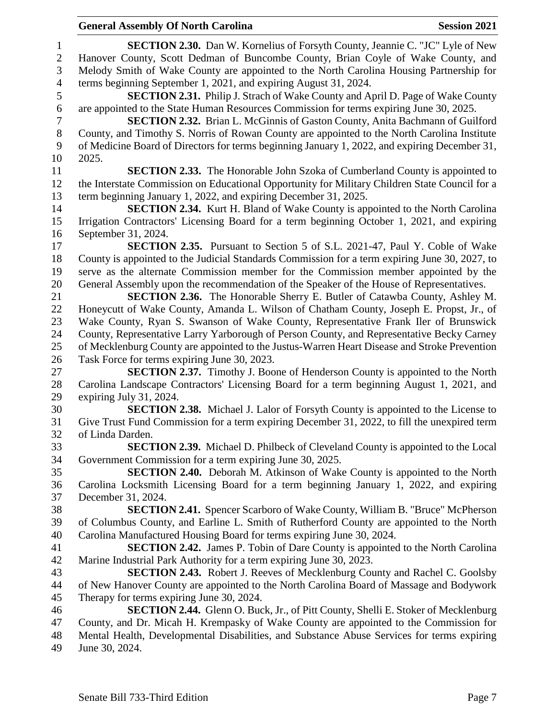# **General Assembly Of North Carolina Session 2021**

 **SECTION 2.30.** Dan W. Kornelius of Forsyth County, Jeannie C. "JC" Lyle of New Hanover County, Scott Dedman of Buncombe County, Brian Coyle of Wake County, and Melody Smith of Wake County are appointed to the North Carolina Housing Partnership for terms beginning September 1, 2021, and expiring August 31, 2024. **SECTION 2.31.** Philip J. Strach of Wake County and April D. Page of Wake County are appointed to the State Human Resources Commission for terms expiring June 30, 2025. **SECTION 2.32.** Brian L. McGinnis of Gaston County, Anita Bachmann of Guilford County, and Timothy S. Norris of Rowan County are appointed to the North Carolina Institute of Medicine Board of Directors for terms beginning January 1, 2022, and expiring December 31, 2025. **SECTION 2.33.** The Honorable John Szoka of Cumberland County is appointed to the Interstate Commission on Educational Opportunity for Military Children State Council for a term beginning January 1, 2022, and expiring December 31, 2025. **SECTION 2.34.** Kurt H. Bland of Wake County is appointed to the North Carolina Irrigation Contractors' Licensing Board for a term beginning October 1, 2021, and expiring September 31, 2024. **SECTION 2.35.** Pursuant to Section 5 of S.L. 2021-47, Paul Y. Coble of Wake County is appointed to the Judicial Standards Commission for a term expiring June 30, 2027, to serve as the alternate Commission member for the Commission member appointed by the General Assembly upon the recommendation of the Speaker of the House of Representatives. **SECTION 2.36.** The Honorable Sherry E. Butler of Catawba County, Ashley M. Honeycutt of Wake County, Amanda L. Wilson of Chatham County, Joseph E. Propst, Jr., of Wake County, Ryan S. Swanson of Wake County, Representative Frank Iler of Brunswick County, Representative Larry Yarborough of Person County, and Representative Becky Carney of Mecklenburg County are appointed to the Justus-Warren Heart Disease and Stroke Prevention Task Force for terms expiring June 30, 2023. **SECTION 2.37.** Timothy J. Boone of Henderson County is appointed to the North Carolina Landscape Contractors' Licensing Board for a term beginning August 1, 2021, and expiring July 31, 2024. **SECTION 2.38.** Michael J. Lalor of Forsyth County is appointed to the License to Give Trust Fund Commission for a term expiring December 31, 2022, to fill the unexpired term of Linda Darden. **SECTION 2.39.** Michael D. Philbeck of Cleveland County is appointed to the Local Government Commission for a term expiring June 30, 2025. **SECTION 2.40.** Deborah M. Atkinson of Wake County is appointed to the North Carolina Locksmith Licensing Board for a term beginning January 1, 2022, and expiring December 31, 2024. **SECTION 2.41.** Spencer Scarboro of Wake County, William B. "Bruce" McPherson of Columbus County, and Earline L. Smith of Rutherford County are appointed to the North Carolina Manufactured Housing Board for terms expiring June 30, 2024. **SECTION 2.42.** James P. Tobin of Dare County is appointed to the North Carolina Marine Industrial Park Authority for a term expiring June 30, 2023. **SECTION 2.43.** Robert J. Reeves of Mecklenburg County and Rachel C. Goolsby of New Hanover County are appointed to the North Carolina Board of Massage and Bodywork Therapy for terms expiring June 30, 2024. **SECTION 2.44.** Glenn O. Buck, Jr., of Pitt County, Shelli E. Stoker of Mecklenburg County, and Dr. Micah H. Krempasky of Wake County are appointed to the Commission for Mental Health, Developmental Disabilities, and Substance Abuse Services for terms expiring June 30, 2024.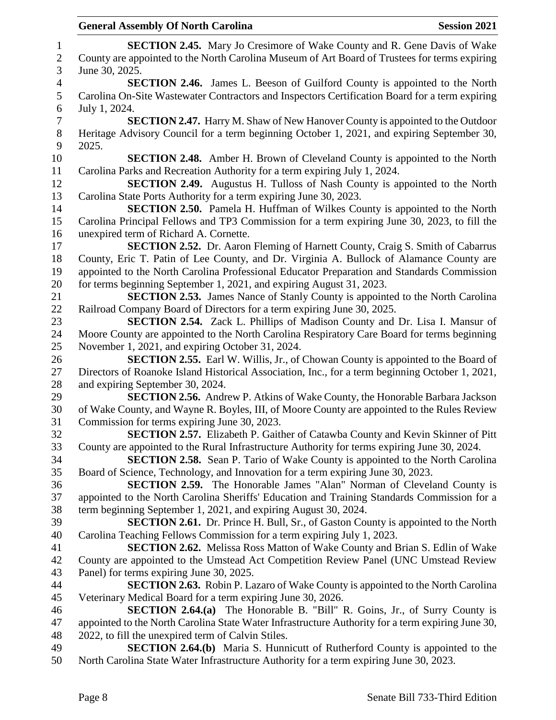|                   | <b>General Assembly Of North Carolina</b><br><b>Session 2021</b>                                                                                                                           |
|-------------------|--------------------------------------------------------------------------------------------------------------------------------------------------------------------------------------------|
| 1                 | <b>SECTION 2.45.</b> Mary Jo Cresimore of Wake County and R. Gene Davis of Wake                                                                                                            |
| $\mathbf{2}$<br>3 | County are appointed to the North Carolina Museum of Art Board of Trustees for terms expiring<br>June 30, 2025.                                                                            |
| $\overline{4}$    | SECTION 2.46. James L. Beeson of Guilford County is appointed to the North                                                                                                                 |
| 5<br>6            | Carolina On-Site Wastewater Contractors and Inspectors Certification Board for a term expiring<br>July 1, 2024.                                                                            |
| $\tau$            | <b>SECTION 2.47.</b> Harry M. Shaw of New Hanover County is appointed to the Outdoor                                                                                                       |
| $8\,$<br>9        | Heritage Advisory Council for a term beginning October 1, 2021, and expiring September 30,<br>2025.                                                                                        |
| 10                | <b>SECTION 2.48.</b> Amber H. Brown of Cleveland County is appointed to the North                                                                                                          |
| 11<br>12          | Carolina Parks and Recreation Authority for a term expiring July 1, 2024.<br><b>SECTION 2.49.</b> Augustus H. Tulloss of Nash County is appointed to the North                             |
| 13                | Carolina State Ports Authority for a term expiring June 30, 2023.                                                                                                                          |
| 14                | <b>SECTION 2.50.</b> Pamela H. Huffman of Wilkes County is appointed to the North                                                                                                          |
| 15                | Carolina Principal Fellows and TP3 Commission for a term expiring June 30, 2023, to fill the                                                                                               |
| 16                | unexpired term of Richard A. Cornette.                                                                                                                                                     |
| 17                | <b>SECTION 2.52.</b> Dr. Aaron Fleming of Harnett County, Craig S. Smith of Cabarrus                                                                                                       |
| 18                | County, Eric T. Patin of Lee County, and Dr. Virginia A. Bullock of Alamance County are                                                                                                    |
| 19                | appointed to the North Carolina Professional Educator Preparation and Standards Commission                                                                                                 |
| 20                | for terms beginning September 1, 2021, and expiring August 31, 2023.                                                                                                                       |
| 21                | <b>SECTION 2.53.</b> James Nance of Stanly County is appointed to the North Carolina                                                                                                       |
| 22                | Railroad Company Board of Directors for a term expiring June 30, 2025.                                                                                                                     |
| 23                | <b>SECTION 2.54.</b> Zack L. Phillips of Madison County and Dr. Lisa I. Mansur of                                                                                                          |
| 24                | Moore County are appointed to the North Carolina Respiratory Care Board for terms beginning                                                                                                |
| 25                | November 1, 2021, and expiring October 31, 2024.                                                                                                                                           |
| 26<br>27          | <b>SECTION 2.55.</b> Earl W. Willis, Jr., of Chowan County is appointed to the Board of<br>Directors of Roanoke Island Historical Association, Inc., for a term beginning October 1, 2021, |
| 28                | and expiring September 30, 2024.                                                                                                                                                           |
| 29                | <b>SECTION 2.56.</b> Andrew P. Atkins of Wake County, the Honorable Barbara Jackson                                                                                                        |
| 30                | of Wake County, and Wayne R. Boyles, III, of Moore County are appointed to the Rules Review                                                                                                |
| 31                | Commission for terms expiring June 30, 2023.                                                                                                                                               |
| 32                | SECTION 2.57. Elizabeth P. Gaither of Catawba County and Kevin Skinner of Pitt                                                                                                             |
| 33                | County are appointed to the Rural Infrastructure Authority for terms expiring June 30, 2024.                                                                                               |
| 34                | <b>SECTION 2.58.</b> Sean P. Tario of Wake County is appointed to the North Carolina                                                                                                       |
| 35                | Board of Science, Technology, and Innovation for a term expiring June 30, 2023.                                                                                                            |
| 36                | <b>SECTION 2.59.</b> The Honorable James "Alan" Norman of Cleveland County is                                                                                                              |
| 37                | appointed to the North Carolina Sheriffs' Education and Training Standards Commission for a                                                                                                |
| 38                | term beginning September 1, 2021, and expiring August 30, 2024.                                                                                                                            |
| 39                | <b>SECTION 2.61.</b> Dr. Prince H. Bull, Sr., of Gaston County is appointed to the North                                                                                                   |
| 40                | Carolina Teaching Fellows Commission for a term expiring July 1, 2023.                                                                                                                     |
| 41                | <b>SECTION 2.62.</b> Melissa Ross Matton of Wake County and Brian S. Edlin of Wake                                                                                                         |
| 42                | County are appointed to the Umstead Act Competition Review Panel (UNC Umstead Review                                                                                                       |
| 43                | Panel) for terms expiring June 30, 2025.                                                                                                                                                   |
| 44                | <b>SECTION 2.63.</b> Robin P. Lazaro of Wake County is appointed to the North Carolina                                                                                                     |
| 45                | Veterinary Medical Board for a term expiring June 30, 2026.                                                                                                                                |
| 46<br>47          | <b>SECTION 2.64.(a)</b> The Honorable B. "Bill" R. Goins, Jr., of Surry County is                                                                                                          |
| 48                | appointed to the North Carolina State Water Infrastructure Authority for a term expiring June 30,<br>2022, to fill the unexpired term of Calvin Stiles.                                    |
| 49                | <b>SECTION 2.64.(b)</b> Maria S. Hunnicutt of Rutherford County is appointed to the                                                                                                        |
| 50                | North Carolina State Water Infrastructure Authority for a term expiring June 30, 2023.                                                                                                     |